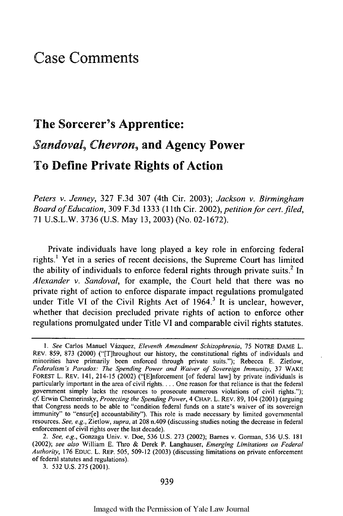## Case Comments

## The Sorcerer's Apprentice: *Sandoval Chevron,* and Agency Power To Define Private Rights of Action

*Peters v. Jenney,* **327 F.3d 307** (4th Cir. **2003);** *Jackson v. Birmingham Board of Education,* **309 F.3d 1333 (1** 1th Cir. 2002), *petition for cert.filed,* **71 U.S.L.W. 3736 (U.S.** May **13, 2003)** (No. **02-1672).**

Private individuals have long played a key role in enforcing federal rights.' Yet in a series of recent decisions, the Supreme Court has limited the ability of individuals to enforce federal rights through private suits.<sup>2</sup> In *Alexander v. Sandoval,* for example, the Court held that there was no private right of action to enforce disparate impact regulations promulgated under Title VI of the Civil Rights Act of 1964.<sup>3</sup> It is unclear, however, whether that decision precluded private rights of action to enforce other regulations promulgated under Title VI and comparable civil rights statutes.

3. 532 U.S. 275 (2001).

*<sup>1.</sup> See* Carlos Manuel Vdzquez, *Eleventh Amendment Schizophrenia,* 75 NOTRE DAME L. REV. 859, 873 (2000) ("[T]hroughout our history, the constitutional rights of individuals and minorities have primarily been enforced through private suits."); Rebecca E. Zietlow, *Federalism's Paradox: The Spending Power and Waiver of Sovereign Immunity,* 37 WAKE FOREST L. REV. 141, 214-15 (2002) ("[E]nforcement [of federal law] by private individuals is particularly important in the area of civil rights.... One reason for that reliance is that the federal government simply lacks the resources to prosecute numerous violations of civil rights."); *cf* Erwin Chemerinsky, *Protecting the Spending Power,* 4 CHAP. L. REV. 89, 104 (2001) (arguing that Congress needs to be able to "condition federal funds on a state's waiver of its sovereign immunity" to "ensur[e] accountability"). This role is made necessary by limited governmental resources. *See, e.g.,* Zietlow, *supra,* at 208 n.409 (discussing studies noting the decrease in federal enforcement of civil rights over the last decade).

*<sup>2.</sup> See, e.g.,* Gonzaga Univ. v. Doe, 536 U.S. 273 (2002); Barnes v. Gorman, 536 U.S. 181 (2002); *see also* William E. Thro & Derek P. Langhauser, *Emerging Limitations on Federal Authority,* 176 EDUC. L. REP. 505, 509-12 (2003) (discussing limitations on private enforcement of federal statutes and regulations).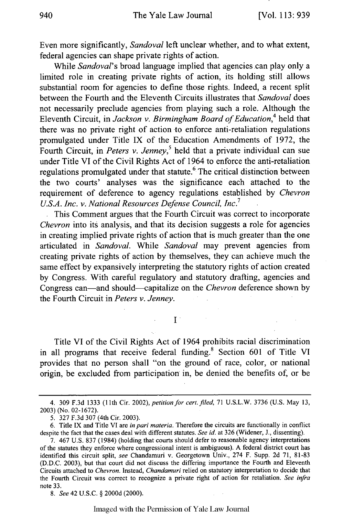Even more significantly, *Sandoval* left unclear whether, and to what extent, federal agencies can shape private rights of action.

While *Sandoval*'s broad language implied that agencies can play only a limited role in creating private rights of action, its holding still allows substantial room for agencies to define those rights. Indeed, a recent split between the Fourth and the Eleventh Circuits illustrates that *Sandoval* does not necessarily preclude agencies from playing such a role. Although the Eleventh Circuit, in *Jackson v. Birmingham Board of Education*<sup>4</sup> held that there was no private right of action to enforce anti-retaliation regulations promulgated under Title IX of the Education Amendments of 1972, the Fourth Circuit, in *Peters v. Jenney*,<sup>5</sup> held that a private individual can sue under Title VI of the Civil Rights Act of 1964 to enforce the anti-retaliation regulations promulgated under that statute.<sup>6</sup> The critical distinction between the two courts' analyses was the significance each attached to the requirement of deference to agency regulations established by *Chevron U.S.A. Inc. v. National Resources Defense Council, Inc.7*

This Comment argues that the Fourth Circuit was correct to incorporate *Chevron* into its analysis, and that its decision suggests a role for agencies in creating implied private rights of action that is much greater than the one articulated in *Sandoval.* While *Sandoval* may prevent agencies from creating private rights of action by themselves, they can achieve much the same effect by expansively interpreting the statutory rights of action created by Congress. With careful regulatory and statutory drafting, agencies and Congress can-and should--capitalize on the *Chevron* deference shown by the Fourth Circuit in *Peters v. Jenney.*

 $\mathbf{I}$ .

Title VI of the Civil Rights Act of 1964 prohibits racial discrimination in all programs that receive federal funding.<sup>8</sup> Section 601 of Title VI provides that no person shall "on the ground of race, color, or national origin, be excluded from participation in, be denied the benefits of, or be

*8. See* 42 U.S.C. § 2000d (2000).

Imaged with the Permission of Yale Law Journal

<sup>4. 309</sup> F.3d 1333 (11th Cir. 2002), petition for cert. filed, 71 U.S.L.W. 3736 (U.S. May 13, 2003) (No. 02-1672).

<sup>5. 327</sup> F.3d 307 (4th Cir. 2003).

<sup>6.</sup> Title IX and Title VI are *in* pari *materia.* Therefore the circuits are functionally in conflict despite the fact that the cases deal with different statutes. *See id.* at 326 (Widener, J., dissenting).

<sup>7. 467</sup> U.S. 837 (1984) (holding that courts should defer to reasonable agency interpretations of the statutes they enforce where congressional intent is ambiguous). A federal district court has identified this circuit split, *see* Chandamuri v. Georgetown Univ., 274 F. Supp. 2d 71, 81-83 (D.D.C. 2003), but that court did not discuss the differing importance the Fourth and Eleventh Circuits attached to *Chevron.* Instead, *Chandamuri* relied on statutory interpretation to decide that the Fourth Circuit was correct to recognize a private right of action for retaliation. *See infra* note 33.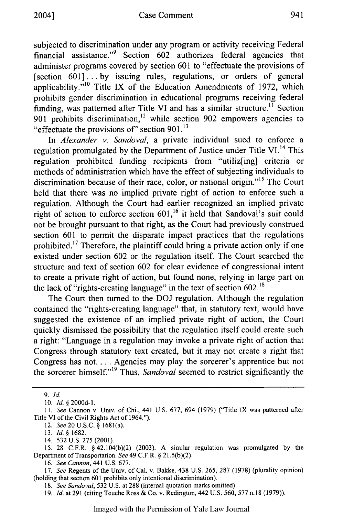subjected to discrimination under any program or activity receiving Federal financial assistance."<sup>9</sup> Section 602 authorizes federal agencies that administer programs covered by section 601 to "effectuate the provisions of [section 601]... by issuing rules, regulations, or orders of general applicability."<sup>10</sup> Title IX of the Education Amendments of 1972, which prohibits gender discrimination in educational programs receiving federal funding, was patterned after Title VI and has a similar structure.<sup>11</sup> Section 901 prohibits discrimination,<sup>12</sup> while section 902 empowers agencies to "effectuate the provisions of" section 901.<sup>13</sup>

In *Alexander v. Sandoval,* a private individual sued to enforce a regulation promulgated by the Department of Justice under Title VI.<sup>14</sup> This regulation prohibited funding recipients from "utiliz[ing] criteria or methods of administration which have the effect of subjecting individuals to discrimination because of their race, color, or national origin."<sup>15</sup> The Court held that there was no implied private right of action to enforce such a regulation. Although the Court had earlier recognized an implied private right of action to enforce section 601,<sup>16</sup> it held that Sandoval's suit could not be brought pursuant to that right, as the Court had previously construed section 601 to permit the disparate impact practices that the regulations prohibited.<sup>17</sup> Therefore, the plaintiff could bring a private action only if one existed under section 602 or the regulation itself. The Court searched the structure and text of section 602 for clear evidence of congressional intent to create a private right of action, but found none, relying in large part on the lack of "rights-creating language" in the text of section  $602$ .<sup>18</sup>

The Court then turned to the DOJ regulation. Although the regulation contained the "rights-creating language" that, in statutory text, would have suggested the existence of an implied private right of action, the Court quickly dismissed the possibility that the regulation itself could create such a right: "Language in a regulation may invoke a private right of action that Congress through statutory text created, but it may not create a right that Congress has not. . . . Agencies may play the sorcerer's apprentice but not the sorcerer himself."'19 Thus, *Sandoval* seemed to restrict significantly the

*9. Id.*

10. *Id.* § 2000d-l.

12. *See2OU.S.C.* § 1681(a).

13. *Id.* § 1682.

14. 532 U.S. **275** (2001).

15. 28 C.F.R. § 42.104(b)(2) (2003). A similar regulation was promulgated by the Department of Transportation. *See* 49 C.F.R. § 21.5(b)(2).

16. *See Cannon,* 441 U.S. 677.

17. *See* Regents of the Univ. of Cal. v. Bakke, 438 U.S. 265, 287 (1978) (plurality opinion) (holding that section 601 prohibits only intentional discrimination).

*18. See Sandoval,* 532 U.S. at 288 (internal quotation marks omitted).

19. *Id.* at 291 (citing Touche Ross **&** Co. v. Redington, 442 U.S. 560, **577** n.18 (1979)).

*<sup>11.</sup> See* Cannon v. Univ. of Chi., 441 U.S. 677, 694 (1979) ("Title IX was patterned after Title VI of the Civil Rights Act of 1964.").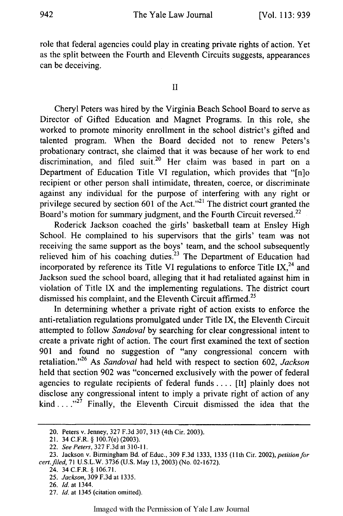role that federal agencies could play in creating private rights of action. Yet as the split between the Fourth and Eleventh Circuits suggests, appearances can be deceiving.

## II

Cheryl Peters was hired by the Virginia Beach School Board to serve as Director of Gifted Education and Magnet Programs. In this role, she worked to promote minority enrollment in the school district's gifted and talented program. When the Board decided not to renew Peters's probationary contract, she claimed that it was because of her work to end discrimination, and filed suit.<sup>20</sup> Her claim was based in part on a Department of Education Title VI regulation, which provides that "[n]o recipient or other person shall intimidate, threaten, coerce, or discriminate against any individual for the purpose of interfering with any right or privilege secured by section 601 of the Act."<sup>21</sup> The district court granted the Board's motion for summary judgment, and the Fourth Circuit reversed.<sup>22</sup>

Roderick Jackson coached the girls' basketball team at Ensley High School. He complained to his supervisors that the girls' team was not receiving the same support as the boys' team, and the school subsequently relieved him of his coaching duties.<sup>23</sup> The Department of Education had incorporated by reference its Title VI regulations to enforce Title IX,  $^{24}$  and Jackson sued the school board, alleging that it had retaliated against him in violation of Title IX and the implementing regulations. The district court dismissed his complaint, and the Eleventh Circuit affirmed.<sup>25</sup>

In determining whether a private right of action exists to enforce the anti-retaliation regulations promulgated under Title IX, the Eleventh Circuit attempted to follow *Sandoval* by searching for clear congressional intent to create a private right of action. The court first examined the text of section 901 and found no suggestion of "any congressional concern with retaliation."<sup>26</sup> As *Sandoval* had held with respect to section 602, *Jackson* held that section 902 was "concerned exclusively with the power of federal agencies to regulate recipients of federal funds .... [It] plainly does not disclose any congressional intent to imply a private right of action of any kind ....  $n^{27}$  Finally, the Eleventh Circuit dismissed the idea that the

27. *Id.* at 1345 (citation omitted).

<sup>20.</sup> Peters v. Jenney, 327 F.3d 307, 313 (4th Cir. 2003).

<sup>21. 34</sup> C.F.R. § 100.7(e) (2003).

<sup>22.</sup> *See Peters,* 327 F.3d at **310-11.**

<sup>23.</sup> Jackson v. Birmingham Bd. of Educ., 309 F.3d 1333, 1335 (11th Cir. 2002), petition for *cert.filed,* 71 U.S.L.W. 3736 (U.S. May 13, 2003) (No. 02-1672).

<sup>24. 34</sup> C.F.R. § 106.71.

<sup>25.</sup> *Jackson,* 309 F.3d at 1335.

<sup>26.</sup> *Id.* at 1344.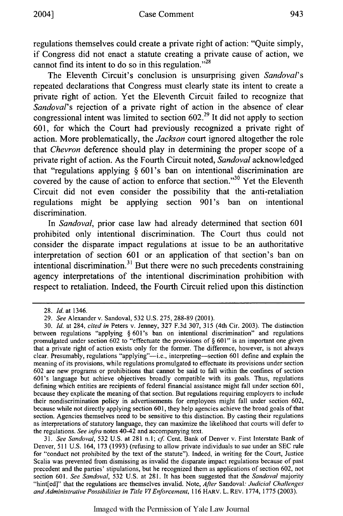regulations themselves could create a private right of action: "Quite simply, if Congress did not enact a statute creating a private cause of action, we cannot find its intent to do so in this regulation. $^{28}$ 

The Eleventh Circuit's conclusion is unsurprising given *Sandoval's* repeated declarations that Congress must clearly state its intent to create a private right of action. Yet the Eleventh Circuit failed to recognize that *Sandoval's* rejection of a private right of action in the absence of clear congressional intent was limited to section  $602<sup>29</sup>$  It did not apply to section 601, for which the Court had previously recognized a private right of action. More problematically, the *Jackson* court ignored altogether the role that *Chevron* deference should play in determining the proper scope of a private right of action. As the Fourth Circuit noted, *Sandoval* acknowledged that "regulations applying § 601's ban on intentional discrimination are covered by the cause of action to enforce that section."<sup>30</sup> Yet the Eleventh Circuit did not even consider the possibility that the anti-retaliation regulations might be applying section 901's ban on intentional discrimination.

In *Sandoval,* prior case law had already determined that section 601 prohibited only intentional discrimination. The Court thus could not consider the disparate impact regulations at issue to be an authoritative interpretation of section 601 or an application of that section's ban on intentional discrimination.<sup>31</sup> But there were no such precedents constraining agency interpretations of the intentional discrimination prohibition with respect to retaliation. Indeed, the Fourth Circuit relied upon this distinction

31. *See Sandoval,* 532 U.S. at 281 n.1; *cf* Cent. Bank of Denver v. First Interstate Bank of Denver, 511 U.S. 164, 173 (1993) (refusing to allow private individuals to sue under an SEC rule for "conduct not prohibited by the text of the statute"). Indeed, in writing for the Court, Justice Scalia was prevented from dismissing as invalid the disparate impact regulations because of past precedent and the parties' stipulations, but he recognized them as applications of section 602, not section 601. *See Sandoval,* 532 U.S. at 281. It has been suggested that the *Sandoval* majority "hint[ed]" that the regulations are themselves invalid. Note, *After* Sandoval: *Judicial Challenges and Administrative Possibilities in Title VI Enforcement,* 116 HARV. L. REV. 1774, 1775 (2003).

Imaged with the Permission of Yale Law Journal

<sup>28.</sup> *Id.* at 1346.

<sup>29.</sup> *See* Alexander v. Sandoval, 532 U.S. 275, 288-89 (2001).

*<sup>30.</sup> Id.* at 284, *cited in* Peters v. Jenney, 327 F.3d 307, 315 (4th Cir. 2003). The distinction between regulations "applying § 601's ban on intentional discrimination" and regulations promulgated under section 602 to "effectuate the provisions of § 601" is an important one given that a private right of action exists only for the former. The difference, however, is not always clear. Presumably, regulations "applying"--i.e., interpreting-section 601 define and explain the meaning of its provisions, while regulations promulgated to effectuate its provisions under section 602 are new programs or prohibitions that cannot be said to fall within the confines of section 601's language but achieve objectives broadly compatible with its goals. Thus, regulations defining which entities are recipients of federal financial assistance might fall under section 601, because they explicate the meaning of that section. But regulations requiring employers to include their nondiscrimination policy in advertisements for employees might fall under section 602, because while not directly applying section 601, they help agencies achieve the broad goals of that section. Agencies themselves need to be sensitive to this distinction. By casting their regulations as interpretations of statutory language, they can maximize the likelihood that courts will defer to the regulations. *See infra* notes 40-42 and accompanying text.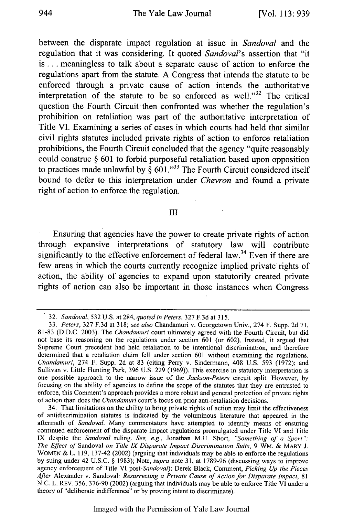between the disparate impact regulation at issue in *Sandoval* and the regulation that it was considering. It quoted *Sandoval's* assertion that "it **is...** meaningless to talk about a separate cause of action to enforce the regulations apart from the statute. **A** Congress that intends the statute to be enforced through a private cause of action intends the authoritative interpretation of the statute to be so enforced as well." $32$  The critical question the Fourth Circuit then confronted was whether the regulation's prohibition on retaliation was part of the authoritative interpretation of Title VI. Examining a series of cases in which courts had held that similar civil rights statutes included private rights of action to enforce retaliation prohibitions, the Fourth Circuit concluded that the agency "quite reasonably could construe **§ 601** to forbid purposeful retaliation based upon opposition to practices made unlawful by  $\frac{2}{3}$  601."<sup>33</sup> The Fourth Circuit considered itself bound to defer to this interpretation under *Chevron* and found a private right of action to enforce the regulation.

## III

Ensuring that agencies have the power to create private rights of action through expansive interpretations of statutory law will contribute significantly to the effective enforcement of federal law.<sup>34</sup> Even if there are few areas in which the courts currently recognize implied private rights of action, the ability of agencies to expand upon statutorily created private rights of action can also be important in those instances when Congress

<sup>32.</sup> *Sandoval,* 532 U.S. at 284, *quoted in Peters,* 327 F.3d at 315.

<sup>33.</sup> *Peters,* 327 F.3d at 318; *see also* Chandamuri v. Georgetown Univ., 274 F. Supp. 2d 71, 81-83 (D.D.C. 2003). The *Chandamuri* court ultimately agreed with the Fourth Circuit, but did not base its reasoning on the regulations under section 601 (or 602). Instead, it argued that Supreme Court precedent had held retaliation to be intentional discrimination, and therefore determined that a retaliation claim fell under section 601 without examining the regulations. *Chandamuri,* 274 F. Supp. 2d at 83 (citing Perry v. Sindermann, 408 U.S. 593 (1972); and Sullivan v. Little Hunting Park, 396 U.S. 229 (1969)). This exercise in statutory interpretation is one possible approach to the narrow issue of the *Jackson-Peters* circuit split. However, by focusing on the ability of agencies to define the scope of the statutes that they are entrusted to enforce, this Comment's approach provides a more robust and general protection of private rights of action than does the *Chandamuri* court's focus on prior anti-retaliation decisions.

<sup>34.</sup> That limitations on the ability to bring private rights of action may limit the effectiveness of antidiscrimination statutes is indicated by the voluminous literature that appeared in the aftermath of *Sandoval.* Many commentators have attempted to identify means of ensuring continued enforcement of the disparate impact regulations promulgated under Title VI and Title IX despite the *Sandoval* ruling. *See, e.g.,* Jonathan M.H. Short, *"Something of a Sport": The Effect of* Sandoval *on Title IX Disparate Impact Discrimination Suits,* 9 WM. & MARY J. WOMEN **&** L. 119, 137-42 (2002) (arguing that individuals may be able to enforce the regulations by suing under 42 U.S.C. § 1983); Note, *supra* note 31, at 1789-96 (discussing ways to improve agency enforcement of Title VI *post-Sandoval);* Derek Black, Comment, *Picking Up the Pieces After* Alexander v. Sandoval: *Resurrecting a Private Cause of Action for Disparate Impact,* <sup>81</sup> N.C. L. REV. 356, 376-90 (2002) (arguing that individuals may be able to enforce Title VI under a theory of "deliberate indifference" or by proving intent to discriminate).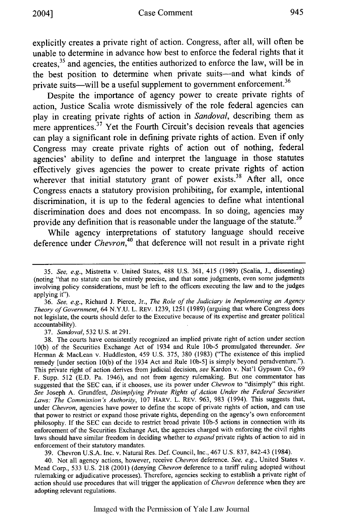945

explicitly creates a private right of action. Congress, after all, will often be unable to determine in advance how best to enforce the federal rights that it creates,<sup>35</sup> and agencies, the entities authorized to enforce the law, will be in the best position to determine when private suits-and what kinds of private suits—will be a useful supplement to government enforcement.<sup>36</sup>

Despite the importance of agency power to create private rights of action, Justice Scalia wrote dismissively of the role federal agencies can play in creating private rights of action in *Sandoval,* describing them as mere apprentices.<sup>37</sup> Yet the Fourth Circuit's decision reveals that agencies can play a significant role in defining private rights of action. Even if only Congress may create private rights of action out of nothing, federal agencies' ability to define and interpret the language in those statutes effectively gives agencies the power to create private rights of action wherever that initial statutory grant of power exists.<sup>38</sup> After all, once Congress enacts a statutory provision prohibiting, for example, intentional discrimination, it is up to the federal agencies to define what intentional discrimination does and does not encompass. In so doing, agencies may provide any definition that is reasonable under the language of the statute.<sup>39</sup>

While agency interpretations of statutory language should receive deference under *Chevron,40* that deference will not result in a private right

37. *Sandoval,* 532 U.S. at 291.

39. Chevron U.S.A. Inc. v. Natural Res. Def. Council, Inc., 467 U.S. 837, 842-43 (1984).

40. Not all agency actions, however, receive *Chevron* deference. *See, e.g.,* United States v. Mead Corp., 533 U.S. 218 (2001) (denying *Chevron* deference to a tariff ruling adopted without rulemaking or adjudicative processes). Therefore, agencies seeking to establish a private right of action should use procedures that will trigger the application of *Chevron* deference when they are adopting relevant regulations.

<sup>35.</sup> *See, e.g.,* Mistretta v. United States, 488 U.S. 361, 415 (1989) (Scalia, J., dissenting) (noting "that no statute can be entirely precise, and that some judgments, even some judgments involving policy considerations, must be left to the officers executing the law and to the judges applying it").

<sup>36.</sup> *See, e.g.,* Richard J. Pierce, Jr., *The Role of the Judiciary in Implementing an Agency Theory of Government,* 64 N.Y.U. L. REV. 1239, 1251 (1989) (arguing that where Congress does not legislate, the courts should defer to the Executive because of its expertise and greater political accountability).

<sup>38.</sup> The courts have consistently recognized an implied private right of action under section 10(b) of the Securities Exchange Act of 1934 and Rule **lOb-5** promulgated thereunder. *See* Herman & MacLean v. Huddleston, 459 U.S. 375, 380 (1983) ("The existence of this implied remedy [under section 10(b) of the 1934 Act and Rule 1Ob-5] is simply beyond peradventure."). This private right of action derives from judicial decision, *see* Kardon v. Nat'l Gypsum Co., 69 F. Supp. 512 (E.D. Pa. 1946), and not from- agency rulemaking. But one commentator has suggested that the SEC can, if it chooses, use its power under *Chevron* to "disimply" this right. *See* Joseph A. Grundfest, *Disimplying Private Rights of Action Under the Federal Securities Laws: The Commission's Authority,* 107 HARV. L. REV. 963, 983 (1994). This suggests that, under *Chevron,* agencies have power to define the scope of private rights of action, and can use that power to restrict or expand those private rights, depending on the agency's own enforcement philosophy. If the SEC can decide to restrict broad private **lOb-5** actions in connection with its enforcement of the Securities Exchange Act, the agencies charged with enforcing the civil rights laws should have similar freedom in deciding whether to *expand* private rights of action to aid in enforcement of their statutory mandates.